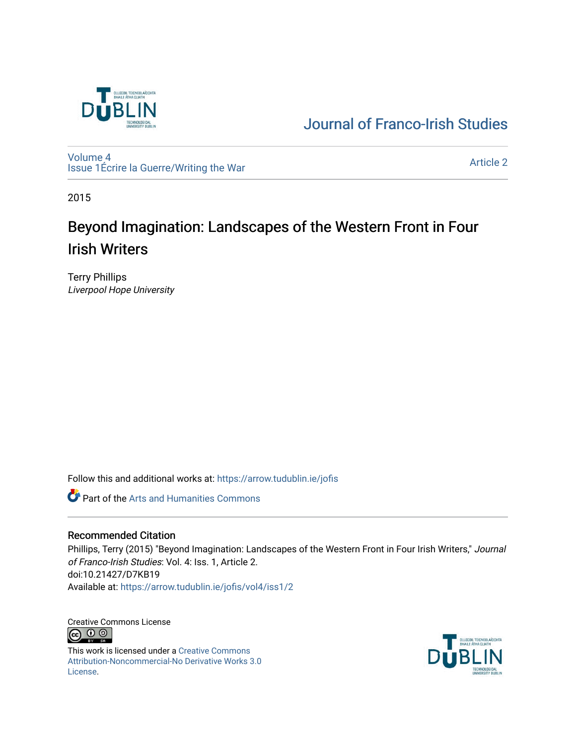

# [Journal of Franco-Irish Studies](https://arrow.tudublin.ie/jofis)

[Volume 4](https://arrow.tudublin.ie/jofis/vol4) [Issue 1](https://arrow.tudublin.ie/jofis/vol4/iss1)Écrire la Guerre/Writing the War Article 2<br>
Issue 1Écrire la Guerre/Writing the War

2015

# Beyond Imagination: Landscapes of the Western Front in Four Irish Writers

Terry Phillips Liverpool Hope University

Follow this and additional works at: [https://arrow.tudublin.ie/jofis](https://arrow.tudublin.ie/jofis?utm_source=arrow.tudublin.ie%2Fjofis%2Fvol4%2Fiss1%2F2&utm_medium=PDF&utm_campaign=PDFCoverPages) 

Part of the [Arts and Humanities Commons](http://network.bepress.com/hgg/discipline/438?utm_source=arrow.tudublin.ie%2Fjofis%2Fvol4%2Fiss1%2F2&utm_medium=PDF&utm_campaign=PDFCoverPages) 

## Recommended Citation

Phillips, Terry (2015) "Beyond Imagination: Landscapes of the Western Front in Four Irish Writers," Journal of Franco-Irish Studies: Vol. 4: Iss. 1, Article 2. doi:10.21427/D7KB19 Available at: [https://arrow.tudublin.ie/jofis/vol4/iss1/2](https://arrow.tudublin.ie/jofis/vol4/iss1/2?utm_source=arrow.tudublin.ie%2Fjofis%2Fvol4%2Fiss1%2F2&utm_medium=PDF&utm_campaign=PDFCoverPages) 

Creative Commons License <u>ெ ெ</u>

This work is licensed under a [Creative Commons](https://creativecommons.org/licenses/by-nc-nd/3.0/) [Attribution-Noncommercial-No Derivative Works 3.0](https://creativecommons.org/licenses/by-nc-nd/3.0/) [License.](https://creativecommons.org/licenses/by-nc-nd/3.0/)

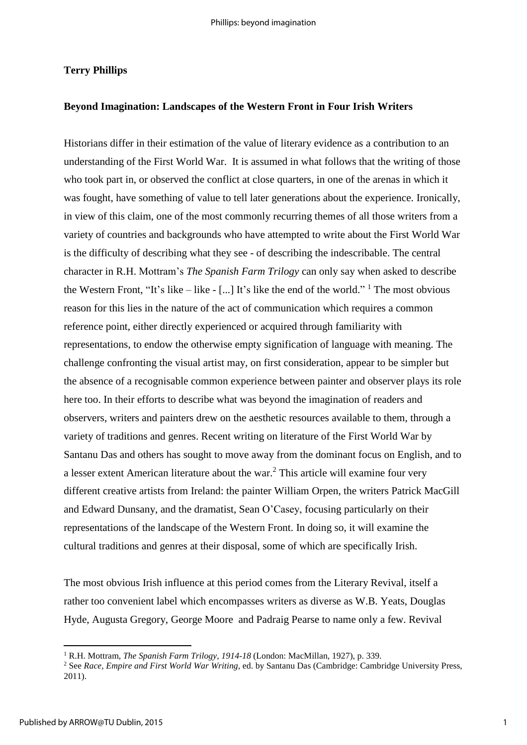### **Terry Phillips**

#### **Beyond Imagination: Landscapes of the Western Front in Four Irish Writers**

Historians differ in their estimation of the value of literary evidence as a contribution to an understanding of the First World War. It is assumed in what follows that the writing of those who took part in, or observed the conflict at close quarters, in one of the arenas in which it was fought, have something of value to tell later generations about the experience. Ironically, in view of this claim, one of the most commonly recurring themes of all those writers from a variety of countries and backgrounds who have attempted to write about the First World War is the difficulty of describing what they see - of describing the indescribable. The central character in R.H. Mottram's *The Spanish Farm Trilogy* can only say when asked to describe the Western Front, "It's like  $-$  like  $-$  [...] It's like the end of the world." <sup>1</sup> The most obvious reason for this lies in the nature of the act of communication which requires a common reference point, either directly experienced or acquired through familiarity with representations, to endow the otherwise empty signification of language with meaning. The challenge confronting the visual artist may, on first consideration, appear to be simpler but the absence of a recognisable common experience between painter and observer plays its role here too. In their efforts to describe what was beyond the imagination of readers and observers, writers and painters drew on the aesthetic resources available to them, through a variety of traditions and genres. Recent writing on literature of the First World War by Santanu Das and others has sought to move away from the dominant focus on English, and to a lesser extent American literature about the war.<sup>2</sup> This article will examine four very different creative artists from Ireland: the painter William Orpen, the writers Patrick MacGill and Edward Dunsany, and the dramatist, Sean O'Casey, focusing particularly on their representations of the landscape of the Western Front. In doing so, it will examine the cultural traditions and genres at their disposal, some of which are specifically Irish.

The most obvious Irish influence at this period comes from the Literary Revival, itself a rather too convenient label which encompasses writers as diverse as W.B. Yeats, Douglas Hyde, Augusta Gregory, George Moore and Padraig Pearse to name only a few. Revival

<sup>&</sup>lt;sup>1</sup> R.H. Mottram, *The Spanish Farm Trilogy, 1914-18* (London: MacMillan, 1927), p. 339.

<sup>2</sup> See *Race, Empire and First World War Writing*, ed. by Santanu Das (Cambridge: Cambridge University Press, 2011).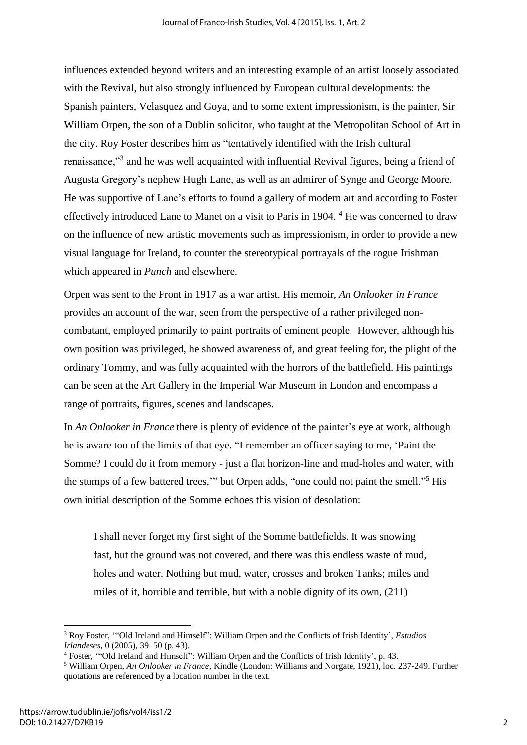influences extended beyond writers and an interesting example of an artist loosely associated with the Revival, but also strongly influenced by European cultural developments: the Spanish painters, Velasquez and Goya, and to some extent impressionism, is the painter, Sir William Orpen, the son of a Dublin solicitor, who taught at the Metropolitan School of Art in the city. Roy Foster describes him as "tentatively identified with the Irish cultural renaissance,"<sup>3</sup> and he was well acquainted with influential Revival figures, being a friend of Augusta Gregory's nephew Hugh Lane, as well as an admirer of Synge and George Moore. He was supportive of Lane's efforts to found a gallery of modern art and according to Foster effectively introduced Lane to Manet on a visit to Paris in 1904. <sup>4</sup> He was concerned to draw on the influence of new artistic movements such as impressionism, in order to provide a new visual language for Ireland, to counter the stereotypical portrayals of the rogue Irishman which appeared in *Punch* and elsewhere.

Orpen was sent to the Front in 1917 as a war artist. His memoir, *An Onlooker in France* provides an account of the war, seen from the perspective of a rather privileged noncombatant, employed primarily to paint portraits of eminent people. However, although his own position was privileged, he showed awareness of, and great feeling for, the plight of the ordinary Tommy, and was fully acquainted with the horrors of the battlefield. His paintings can be seen at the Art Gallery in the Imperial War Museum in London and encompass a range of portraits, figures, scenes and landscapes.

In *An Onlooker in France* there is plenty of evidence of the painter's eye at work, although he is aware too of the limits of that eye. "I remember an officer saying to me, 'Paint the Somme? I could do it from memory - just a flat horizon-line and mud-holes and water, with the stumps of a few battered trees," but Orpen adds, "one could not paint the smell."<sup>5</sup> His own initial description of the Somme echoes this vision of desolation:

I shall never forget my first sight of the Somme battlefields. It was snowing fast, but the ground was not covered, and there was this endless waste of mud, holes and water. Nothing but mud, water, crosses and broken Tanks; miles and miles of it, horrible and terrible, but with a noble dignity of its own, (211)

<sup>3</sup> Roy Foster, '"Old Ireland and Himself": William Orpen and the Conflicts of Irish Identity', *Estudios Irlandeses*, 0 (2005), 39–50 (p. 43).

<sup>4</sup> Foster, '"Old Ireland and Himself": William Orpen and the Conflicts of Irish Identity', p. 43.

<sup>5</sup> William Orpen, *An Onlooker in France*, Kindle (London: Williams and Norgate, 1921), loc. 237-249. Further quotations are referenced by a location number in the text.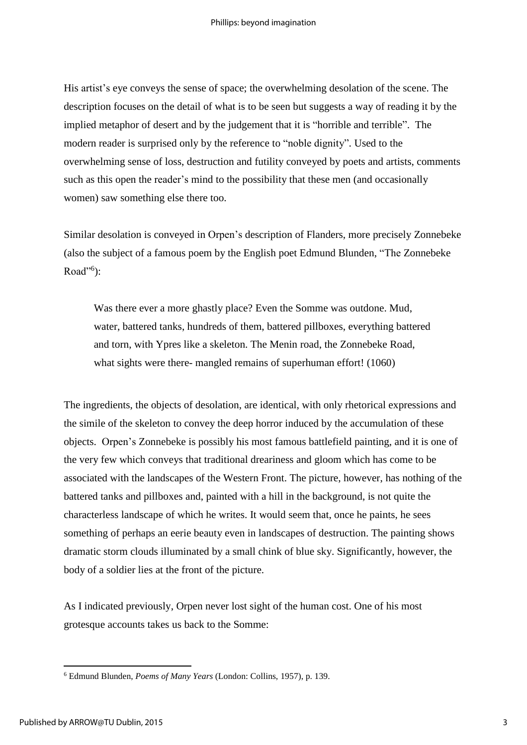His artist's eye conveys the sense of space; the overwhelming desolation of the scene. The description focuses on the detail of what is to be seen but suggests a way of reading it by the implied metaphor of desert and by the judgement that it is "horrible and terrible". The modern reader is surprised only by the reference to "noble dignity". Used to the overwhelming sense of loss, destruction and futility conveyed by poets and artists, comments such as this open the reader's mind to the possibility that these men (and occasionally women) saw something else there too.

Similar desolation is conveyed in Orpen's description of Flanders, more precisely Zonnebeke (also the subject of a famous poem by the English poet Edmund Blunden, "The Zonnebeke Road"<sup>6</sup>):

Was there ever a more ghastly place? Even the Somme was outdone. Mud, water, battered tanks, hundreds of them, battered pillboxes, everything battered and torn, with Ypres like a skeleton. The Menin road, the Zonnebeke Road, what sights were there- mangled remains of superhuman effort! (1060)

The ingredients, the objects of desolation, are identical, with only rhetorical expressions and the simile of the skeleton to convey the deep horror induced by the accumulation of these objects. Orpen's Zonnebeke is possibly his most famous battlefield painting, and it is one of the very few which conveys that traditional dreariness and gloom which has come to be associated with the landscapes of the Western Front. The picture, however, has nothing of the battered tanks and pillboxes and, painted with a hill in the background, is not quite the characterless landscape of which he writes. It would seem that, once he paints, he sees something of perhaps an eerie beauty even in landscapes of destruction. The painting shows dramatic storm clouds illuminated by a small chink of blue sky. Significantly, however, the body of a soldier lies at the front of the picture.

As I indicated previously, Orpen never lost sight of the human cost. One of his most grotesque accounts takes us back to the Somme:

<sup>6</sup> Edmund Blunden, *Poems of Many Years* (London: Collins, 1957), p. 139.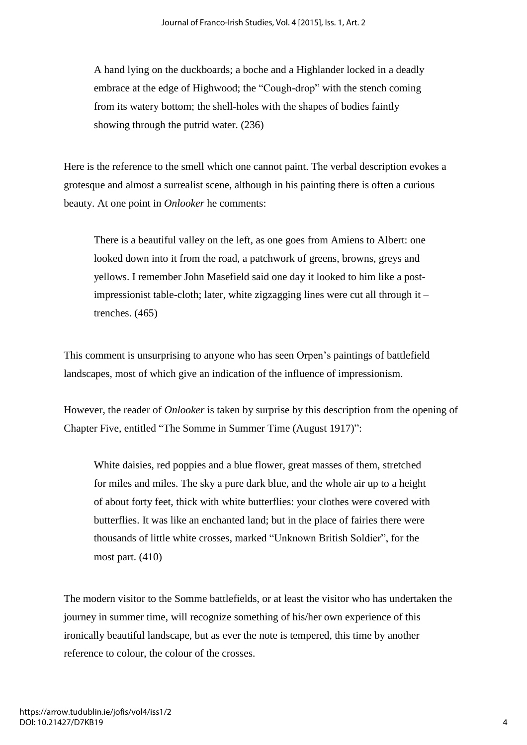A hand lying on the duckboards; a boche and a Highlander locked in a deadly embrace at the edge of Highwood; the "Cough-drop" with the stench coming from its watery bottom; the shell-holes with the shapes of bodies faintly showing through the putrid water. (236)

Here is the reference to the smell which one cannot paint. The verbal description evokes a grotesque and almost a surrealist scene, although in his painting there is often a curious beauty. At one point in *Onlooker* he comments:

There is a beautiful valley on the left, as one goes from Amiens to Albert: one looked down into it from the road, a patchwork of greens, browns, greys and yellows. I remember John Masefield said one day it looked to him like a postimpressionist table-cloth; later, white zigzagging lines were cut all through it – trenches. (465)

This comment is unsurprising to anyone who has seen Orpen's paintings of battlefield landscapes, most of which give an indication of the influence of impressionism.

However, the reader of *Onlooker* is taken by surprise by this description from the opening of Chapter Five, entitled "The Somme in Summer Time (August 1917)":

White daisies, red poppies and a blue flower, great masses of them, stretched for miles and miles. The sky a pure dark blue, and the whole air up to a height of about forty feet, thick with white butterflies: your clothes were covered with butterflies. It was like an enchanted land; but in the place of fairies there were thousands of little white crosses, marked "Unknown British Soldier", for the most part. (410)

The modern visitor to the Somme battlefields, or at least the visitor who has undertaken the journey in summer time, will recognize something of his/her own experience of this ironically beautiful landscape, but as ever the note is tempered, this time by another reference to colour, the colour of the crosses.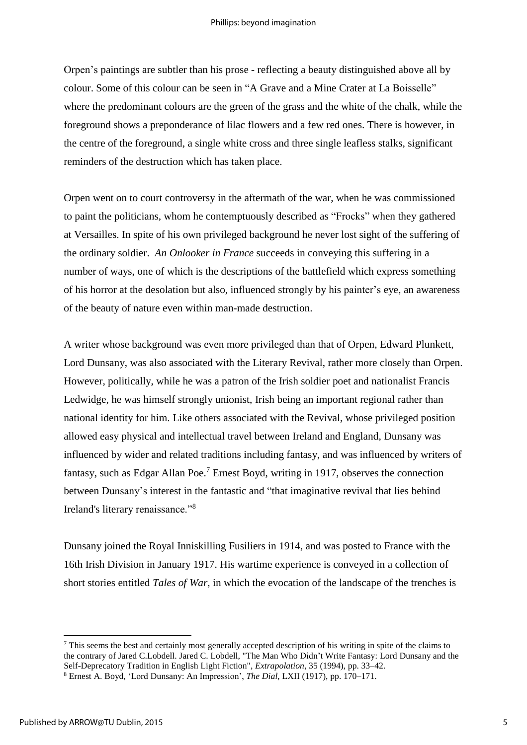Orpen's paintings are subtler than his prose - reflecting a beauty distinguished above all by colour. Some of this colour can be seen in "A Grave and a Mine Crater at La Boisselle" where the predominant colours are the green of the grass and the white of the chalk, while the foreground shows a preponderance of lilac flowers and a few red ones. There is however, in the centre of the foreground, a single white cross and three single leafless stalks, significant reminders of the destruction which has taken place.

Orpen went on to court controversy in the aftermath of the war, when he was commissioned to paint the politicians, whom he contemptuously described as "Frocks" when they gathered at Versailles. In spite of his own privileged background he never lost sight of the suffering of the ordinary soldier. *An Onlooker in France* succeeds in conveying this suffering in a number of ways, one of which is the descriptions of the battlefield which express something of his horror at the desolation but also, influenced strongly by his painter's eye, an awareness of the beauty of nature even within man-made destruction.

A writer whose background was even more privileged than that of Orpen, Edward Plunkett, Lord Dunsany, was also associated with the Literary Revival, rather more closely than Orpen. However, politically, while he was a patron of the Irish soldier poet and nationalist Francis Ledwidge, he was himself strongly unionist, Irish being an important regional rather than national identity for him. Like others associated with the Revival, whose privileged position allowed easy physical and intellectual travel between Ireland and England, Dunsany was influenced by wider and related traditions including fantasy, and was influenced by writers of fantasy, such as Edgar Allan Poe.<sup>7</sup> Ernest Boyd, writing in 1917, observes the connection between Dunsany's interest in the fantastic and "that imaginative revival that lies behind Ireland's literary renaissance."<sup>8</sup>

Dunsany joined the Royal Inniskilling Fusiliers in 1914, and was posted to France with the 16th Irish Division in January 1917. His wartime experience is conveyed in a collection of short stories entitled *Tales of War,* in which the evocation of the landscape of the trenches is

 $<sup>7</sup>$  This seems the best and certainly most generally accepted description of his writing in spite of the claims to</sup> the contrary of Jared C.Lobdell. Jared C. Lobdell, "The Man Who Didn't Write Fantasy: Lord Dunsany and the Self-Deprecatory Tradition in English Light Fiction", *Extrapolation*, 35 (1994), pp. 33–42. 8 Ernest A. Boyd, 'Lord Dunsany: An Impression', *The Dial*, LXII (1917), pp. 170–171.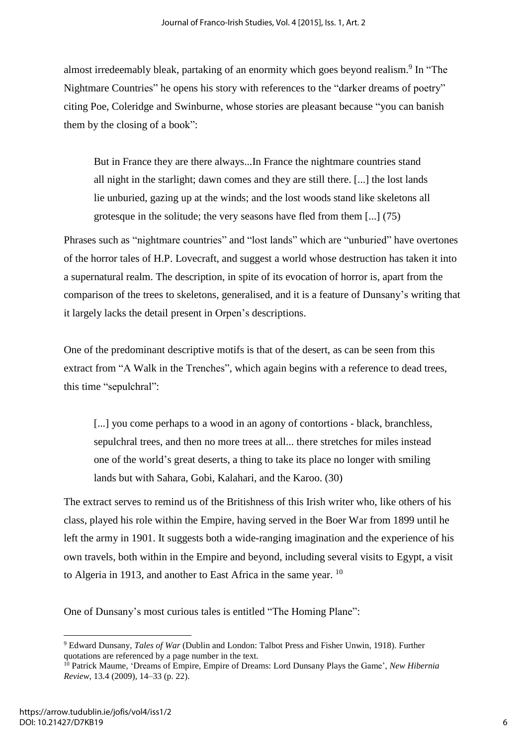almost irredeemably bleak, partaking of an enormity which goes beyond realism.<sup>9</sup> In "The Nightmare Countries" he opens his story with references to the "darker dreams of poetry" citing Poe, Coleridge and Swinburne, whose stories are pleasant because "you can banish them by the closing of a book":

But in France they are there always...In France the nightmare countries stand all night in the starlight; dawn comes and they are still there. [...] the lost lands lie unburied, gazing up at the winds; and the lost woods stand like skeletons all grotesque in the solitude; the very seasons have fled from them [...] (75)

Phrases such as "nightmare countries" and "lost lands" which are "unburied" have overtones of the horror tales of H.P. Lovecraft, and suggest a world whose destruction has taken it into a supernatural realm. The description, in spite of its evocation of horror is, apart from the comparison of the trees to skeletons, generalised, and it is a feature of Dunsany's writing that it largely lacks the detail present in Orpen's descriptions.

One of the predominant descriptive motifs is that of the desert, as can be seen from this extract from "A Walk in the Trenches", which again begins with a reference to dead trees, this time "sepulchral":

[...] you come perhaps to a wood in an agony of contortions - black, branchless, sepulchral trees, and then no more trees at all... there stretches for miles instead one of the world's great deserts, a thing to take its place no longer with smiling lands but with Sahara, Gobi, Kalahari, and the Karoo. (30)

The extract serves to remind us of the Britishness of this Irish writer who, like others of his class, played his role within the Empire, having served in the Boer War from 1899 until he left the army in 1901. It suggests both a wide-ranging imagination and the experience of his own travels, both within in the Empire and beyond, including several visits to Egypt, a visit to Algeria in 1913, and another to East Africa in the same year.  $10$ 

One of Dunsany's most curious tales is entitled "The Homing Plane":

<sup>9</sup> Edward Dunsany, *Tales of War* (Dublin and London: Talbot Press and Fisher Unwin, 1918). Further quotations are referenced by a page number in the text.

<sup>10</sup> Patrick Maume, 'Dreams of Empire, Empire of Dreams: Lord Dunsany Plays the Game', *New Hibernia Review*, 13.4 (2009), 14–33 (p. 22).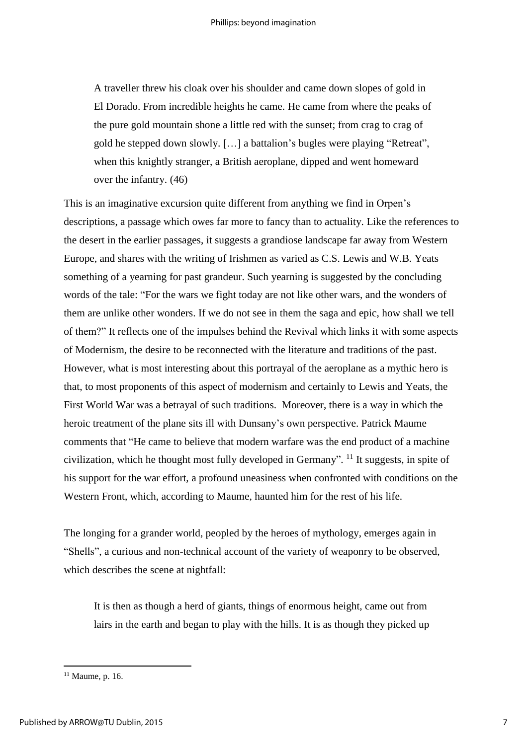A traveller threw his cloak over his shoulder and came down slopes of gold in El Dorado. From incredible heights he came. He came from where the peaks of the pure gold mountain shone a little red with the sunset; from crag to crag of gold he stepped down slowly. […] a battalion's bugles were playing "Retreat", when this knightly stranger, a British aeroplane, dipped and went homeward over the infantry. (46)

This is an imaginative excursion quite different from anything we find in Orpen's descriptions, a passage which owes far more to fancy than to actuality. Like the references to the desert in the earlier passages, it suggests a grandiose landscape far away from Western Europe, and shares with the writing of Irishmen as varied as C.S. Lewis and W.B. Yeats something of a yearning for past grandeur. Such yearning is suggested by the concluding words of the tale: "For the wars we fight today are not like other wars, and the wonders of them are unlike other wonders. If we do not see in them the saga and epic, how shall we tell of them?" It reflects one of the impulses behind the Revival which links it with some aspects of Modernism, the desire to be reconnected with the literature and traditions of the past. However, what is most interesting about this portrayal of the aeroplane as a mythic hero is that, to most proponents of this aspect of modernism and certainly to Lewis and Yeats, the First World War was a betrayal of such traditions. Moreover, there is a way in which the heroic treatment of the plane sits ill with Dunsany's own perspective. Patrick Maume comments that "He came to believe that modern warfare was the end product of a machine civilization, which he thought most fully developed in Germany". <sup>11</sup> It suggests, in spite of his support for the war effort, a profound uneasiness when confronted with conditions on the Western Front, which, according to Maume, haunted him for the rest of his life.

The longing for a grander world, peopled by the heroes of mythology, emerges again in "Shells", a curious and non-technical account of the variety of weaponry to be observed, which describes the scene at nightfall:

It is then as though a herd of giants, things of enormous height, came out from lairs in the earth and began to play with the hills. It is as though they picked up

<sup>11</sup> Maume, p. 16.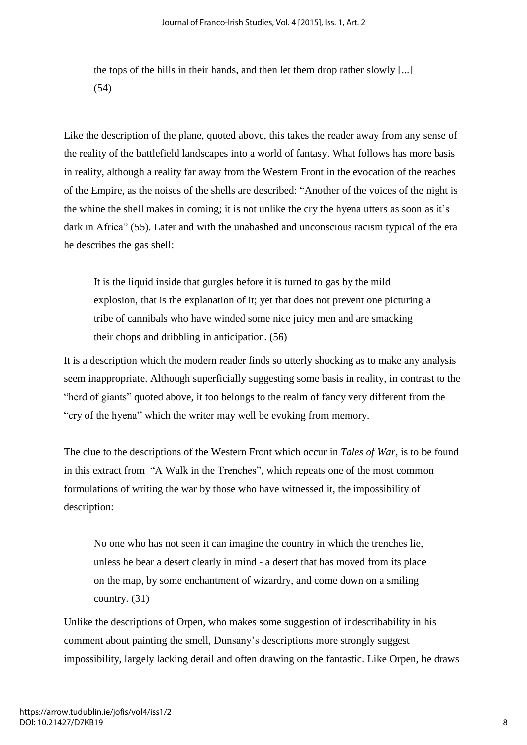the tops of the hills in their hands, and then let them drop rather slowly [...] (54)

Like the description of the plane, quoted above, this takes the reader away from any sense of the reality of the battlefield landscapes into a world of fantasy. What follows has more basis in reality, although a reality far away from the Western Front in the evocation of the reaches of the Empire, as the noises of the shells are described: "Another of the voices of the night is the whine the shell makes in coming; it is not unlike the cry the hyena utters as soon as it's dark in Africa" (55). Later and with the unabashed and unconscious racism typical of the era he describes the gas shell:

It is the liquid inside that gurgles before it is turned to gas by the mild explosion, that is the explanation of it; yet that does not prevent one picturing a tribe of cannibals who have winded some nice juicy men and are smacking their chops and dribbling in anticipation. (56)

It is a description which the modern reader finds so utterly shocking as to make any analysis seem inappropriate. Although superficially suggesting some basis in reality, in contrast to the "herd of giants" quoted above, it too belongs to the realm of fancy very different from the "cry of the hyena" which the writer may well be evoking from memory.

The clue to the descriptions of the Western Front which occur in *Tales of War,* is to be found in this extract from "A Walk in the Trenches", which repeats one of the most common formulations of writing the war by those who have witnessed it, the impossibility of description:

No one who has not seen it can imagine the country in which the trenches lie, unless he bear a desert clearly in mind - a desert that has moved from its place on the map, by some enchantment of wizardry, and come down on a smiling country. (31)

Unlike the descriptions of Orpen, who makes some suggestion of indescribability in his comment about painting the smell, Dunsany's descriptions more strongly suggest impossibility, largely lacking detail and often drawing on the fantastic. Like Orpen, he draws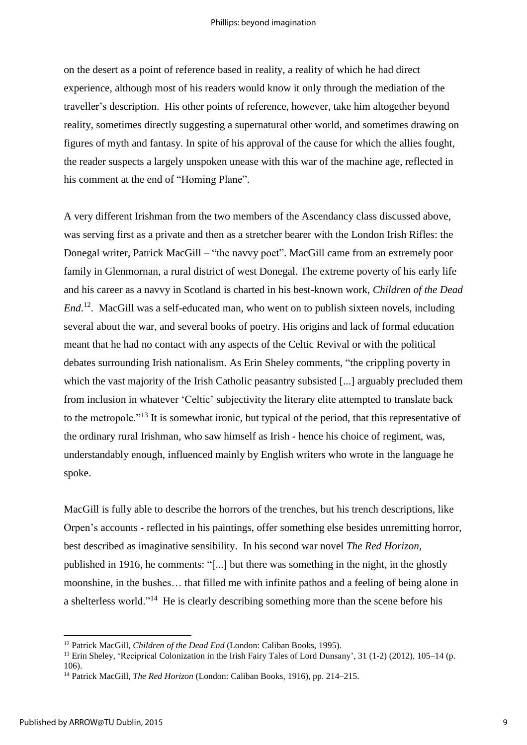on the desert as a point of reference based in reality, a reality of which he had direct experience, although most of his readers would know it only through the mediation of the traveller's description. His other points of reference, however, take him altogether beyond reality, sometimes directly suggesting a supernatural other world, and sometimes drawing on figures of myth and fantasy. In spite of his approval of the cause for which the allies fought, the reader suspects a largely unspoken unease with this war of the machine age, reflected in his comment at the end of "Homing Plane".

A very different Irishman from the two members of the Ascendancy class discussed above, was serving first as a private and then as a stretcher bearer with the London Irish Rifles: the Donegal writer, Patrick MacGill – "the navvy poet". MacGill came from an extremely poor family in Glenmornan, a rural district of west Donegal. The extreme poverty of his early life and his career as a navvy in Scotland is charted in his best-known work, *Children of the Dead End*.<sup>12</sup>. MacGill was a self-educated man, who went on to publish sixteen novels, including several about the war, and several books of poetry. His origins and lack of formal education meant that he had no contact with any aspects of the Celtic Revival or with the political debates surrounding Irish nationalism. As Erin Sheley comments, "the crippling poverty in which the vast majority of the Irish Catholic peasantry subsisted [...] arguably precluded them from inclusion in whatever 'Celtic' subjectivity the literary elite attempted to translate back to the metropole."<sup>13</sup> It is somewhat ironic, but typical of the period, that this representative of the ordinary rural Irishman, who saw himself as Irish - hence his choice of regiment, was, understandably enough, influenced mainly by English writers who wrote in the language he spoke.

MacGill is fully able to describe the horrors of the trenches, but his trench descriptions, like Orpen's accounts - reflected in his paintings, offer something else besides unremitting horror, best described as imaginative sensibility. In his second war novel *The Red Horizon,*  published in 1916, he comments: "[...] but there was something in the night, in the ghostly moonshine, in the bushes… that filled me with infinite pathos and a feeling of being alone in a shelterless world."<sup>14</sup> He is clearly describing something more than the scene before his

<sup>12</sup> Patrick MacGill, *Children of the Dead End* (London: Caliban Books, 1995).

<sup>13</sup> Erin Sheley, 'Reciprical Colonization in the Irish Fairy Tales of Lord Dunsany', 31 (1-2) (2012), 105–14 (p.  $106$ 

<sup>14</sup> Patrick MacGill, *The Red Horizon* (London: Caliban Books, 1916), pp. 214–215.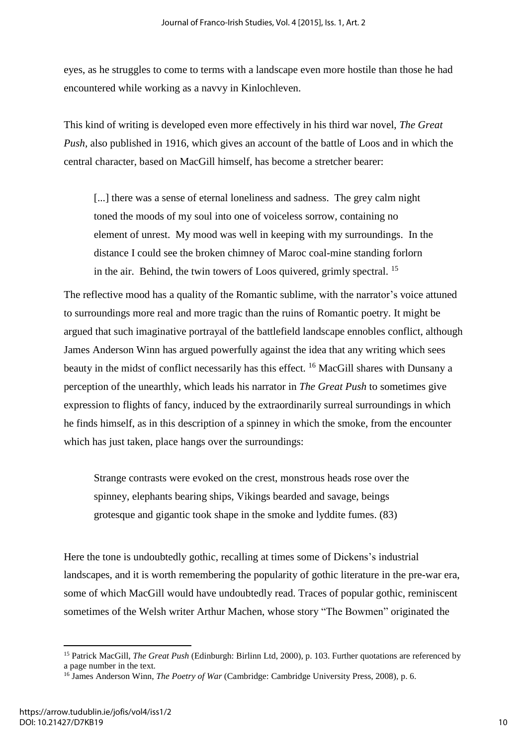eyes, as he struggles to come to terms with a landscape even more hostile than those he had encountered while working as a navvy in Kinlochleven.

This kind of writing is developed even more effectively in his third war novel, *The Great Push,* also published in 1916, which gives an account of the battle of Loos and in which the central character, based on MacGill himself, has become a stretcher bearer:

[...] there was a sense of eternal loneliness and sadness. The grey calm night toned the moods of my soul into one of voiceless sorrow, containing no element of unrest. My mood was well in keeping with my surroundings. In the distance I could see the broken chimney of Maroc coal-mine standing forlorn in the air. Behind, the twin towers of Loos quivered, grimly spectral. <sup>15</sup>

The reflective mood has a quality of the Romantic sublime, with the narrator's voice attuned to surroundings more real and more tragic than the ruins of Romantic poetry. It might be argued that such imaginative portrayal of the battlefield landscape ennobles conflict, although James Anderson Winn has argued powerfully against the idea that any writing which sees beauty in the midst of conflict necessarily has this effect. <sup>16</sup> MacGill shares with Dunsany a perception of the unearthly, which leads his narrator in *The Great Push* to sometimes give expression to flights of fancy, induced by the extraordinarily surreal surroundings in which he finds himself, as in this description of a spinney in which the smoke, from the encounter which has just taken, place hangs over the surroundings:

Strange contrasts were evoked on the crest, monstrous heads rose over the spinney, elephants bearing ships, Vikings bearded and savage, beings grotesque and gigantic took shape in the smoke and lyddite fumes. (83)

Here the tone is undoubtedly gothic, recalling at times some of Dickens's industrial landscapes, and it is worth remembering the popularity of gothic literature in the pre-war era, some of which MacGill would have undoubtedly read. Traces of popular gothic, reminiscent sometimes of the Welsh writer Arthur Machen, whose story "The Bowmen" originated the

<sup>15</sup> Patrick MacGill, *The Great Push* (Edinburgh: Birlinn Ltd, 2000), p. 103. Further quotations are referenced by a page number in the text.

<sup>16</sup> James Anderson Winn, *The Poetry of War* (Cambridge: Cambridge University Press, 2008), p. 6.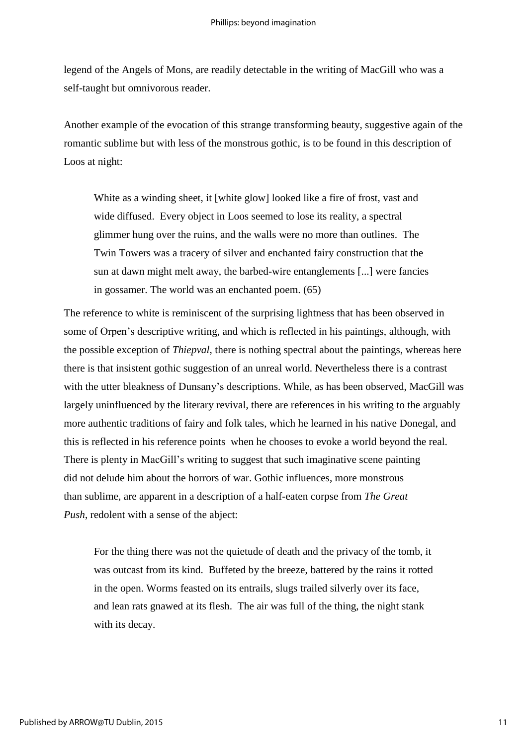legend of the Angels of Mons, are readily detectable in the writing of MacGill who was a self-taught but omnivorous reader.

Another example of the evocation of this strange transforming beauty, suggestive again of the romantic sublime but with less of the monstrous gothic, is to be found in this description of Loos at night:

White as a winding sheet, it [white glow] looked like a fire of frost, vast and wide diffused. Every object in Loos seemed to lose its reality, a spectral glimmer hung over the ruins, and the walls were no more than outlines. The Twin Towers was a tracery of silver and enchanted fairy construction that the sun at dawn might melt away, the barbed-wire entanglements [...] were fancies in gossamer. The world was an enchanted poem. (65)

The reference to white is reminiscent of the surprising lightness that has been observed in some of Orpen's descriptive writing, and which is reflected in his paintings, although, with the possible exception of *Thiepval*, there is nothing spectral about the paintings, whereas here there is that insistent gothic suggestion of an unreal world. Nevertheless there is a contrast with the utter bleakness of Dunsany's descriptions. While, as has been observed, MacGill was largely uninfluenced by the literary revival, there are references in his writing to the arguably more authentic traditions of fairy and folk tales, which he learned in his native Donegal, and this is reflected in his reference points when he chooses to evoke a world beyond the real. There is plenty in MacGill's writing to suggest that such imaginative scene painting did not delude him about the horrors of war. Gothic influences, more monstrous than sublime, are apparent in a description of a half-eaten corpse from *The Great Push*, redolent with a sense of the abject:

For the thing there was not the quietude of death and the privacy of the tomb, it was outcast from its kind. Buffeted by the breeze, battered by the rains it rotted in the open. Worms feasted on its entrails, slugs trailed silverly over its face, and lean rats gnawed at its flesh. The air was full of the thing, the night stank with its decay.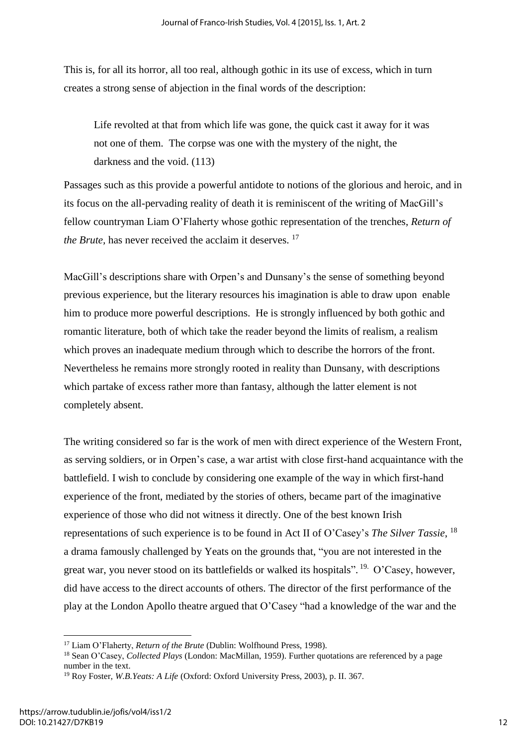This is, for all its horror, all too real, although gothic in its use of excess, which in turn creates a strong sense of abjection in the final words of the description:

Life revolted at that from which life was gone, the quick cast it away for it was not one of them. The corpse was one with the mystery of the night, the darkness and the void. (113)

Passages such as this provide a powerful antidote to notions of the glorious and heroic, and in its focus on the all-pervading reality of death it is reminiscent of the writing of MacGill's fellow countryman Liam O'Flaherty whose gothic representation of the trenches, *Return of the Brute,* has never received the acclaim it deserves.<sup>17</sup>

MacGill's descriptions share with Orpen's and Dunsany's the sense of something beyond previous experience, but the literary resources his imagination is able to draw upon enable him to produce more powerful descriptions. He is strongly influenced by both gothic and romantic literature, both of which take the reader beyond the limits of realism, a realism which proves an inadequate medium through which to describe the horrors of the front. Nevertheless he remains more strongly rooted in reality than Dunsany, with descriptions which partake of excess rather more than fantasy, although the latter element is not completely absent.

The writing considered so far is the work of men with direct experience of the Western Front, as serving soldiers, or in Orpen's case, a war artist with close first-hand acquaintance with the battlefield. I wish to conclude by considering one example of the way in which first-hand experience of the front, mediated by the stories of others, became part of the imaginative experience of those who did not witness it directly. One of the best known Irish representations of such experience is to be found in Act II of O'Casey's *The Silver Tassie*, 18 a drama famously challenged by Yeats on the grounds that, "you are not interested in the great war, you never stood on its battlefields or walked its hospitals". <sup>19.</sup> O'Casey, however, did have access to the direct accounts of others. The director of the first performance of the play at the London Apollo theatre argued that O'Casey "had a knowledge of the war and the

<sup>17</sup> Liam O'Flaherty, *Return of the Brute* (Dublin: Wolfhound Press, 1998).

<sup>18</sup> Sean O'Casey, *Collected Plays* (London: MacMillan, 1959). Further quotations are referenced by a page number in the text.

<sup>19</sup> Roy Foster, *W.B.Yeats: A Life* (Oxford: Oxford University Press, 2003), p. II. 367.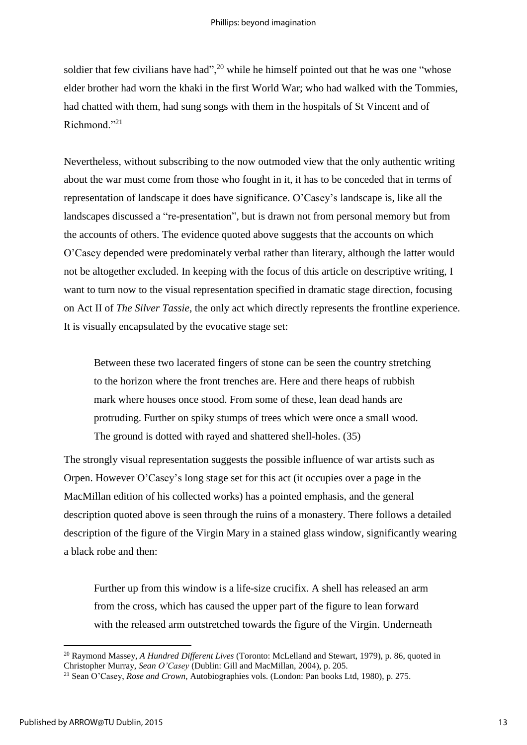soldier that few civilians have had",  $^{20}$  while he himself pointed out that he was one "whose" elder brother had worn the khaki in the first World War; who had walked with the Tommies, had chatted with them, had sung songs with them in the hospitals of St Vincent and of Richmond<sup>"21</sup>

Nevertheless, without subscribing to the now outmoded view that the only authentic writing about the war must come from those who fought in it, it has to be conceded that in terms of representation of landscape it does have significance. O'Casey's landscape is, like all the landscapes discussed a "re-presentation", but is drawn not from personal memory but from the accounts of others. The evidence quoted above suggests that the accounts on which O'Casey depended were predominately verbal rather than literary, although the latter would not be altogether excluded. In keeping with the focus of this article on descriptive writing, I want to turn now to the visual representation specified in dramatic stage direction, focusing on Act II of *The Silver Tassie*, the only act which directly represents the frontline experience. It is visually encapsulated by the evocative stage set:

Between these two lacerated fingers of stone can be seen the country stretching to the horizon where the front trenches are. Here and there heaps of rubbish mark where houses once stood. From some of these, lean dead hands are protruding. Further on spiky stumps of trees which were once a small wood. The ground is dotted with rayed and shattered shell-holes. (35)

The strongly visual representation suggests the possible influence of war artists such as Orpen. However O'Casey's long stage set for this act (it occupies over a page in the MacMillan edition of his collected works) has a pointed emphasis, and the general description quoted above is seen through the ruins of a monastery. There follows a detailed description of the figure of the Virgin Mary in a stained glass window, significantly wearing a black robe and then:

Further up from this window is a life-size crucifix. A shell has released an arm from the cross, which has caused the upper part of the figure to lean forward with the released arm outstretched towards the figure of the Virgin. Underneath

<sup>20</sup> Raymond Massey, *A Hundred Different Lives* (Toronto: McLelland and Stewart, 1979), p. 86, quoted in Christopher Murray, *Sean O'Casey* (Dublin: Gill and MacMillan, 2004), p. 205.

<sup>21</sup> Sean O'Casey, *Rose and Crown*, Autobiographies vols. (London: Pan books Ltd, 1980), p. 275.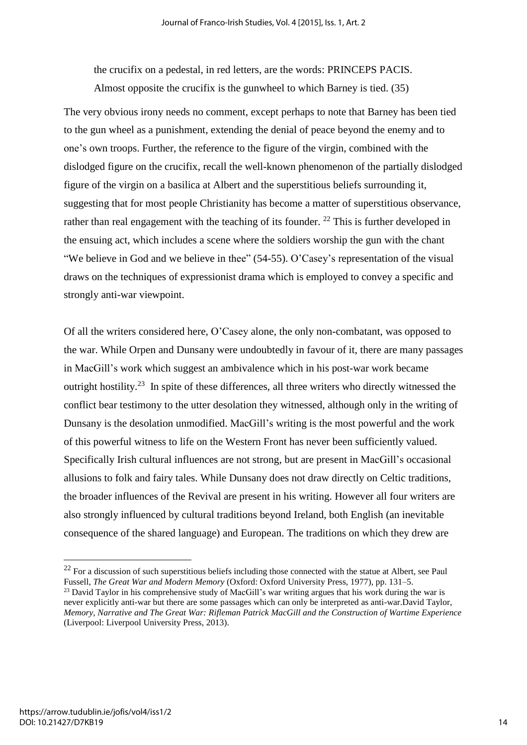the crucifix on a pedestal, in red letters, are the words: PRINCEPS PACIS. Almost opposite the crucifix is the gunwheel to which Barney is tied. (35)

The very obvious irony needs no comment, except perhaps to note that Barney has been tied to the gun wheel as a punishment, extending the denial of peace beyond the enemy and to one's own troops. Further, the reference to the figure of the virgin, combined with the dislodged figure on the crucifix, recall the well-known phenomenon of the partially dislodged figure of the virgin on a basilica at Albert and the superstitious beliefs surrounding it, suggesting that for most people Christianity has become a matter of superstitious observance, rather than real engagement with the teaching of its founder. <sup>22</sup> This is further developed in the ensuing act, which includes a scene where the soldiers worship the gun with the chant "We believe in God and we believe in thee" (54-55). O'Casey's representation of the visual draws on the techniques of expressionist drama which is employed to convey a specific and strongly anti-war viewpoint.

Of all the writers considered here, O'Casey alone, the only non-combatant, was opposed to the war. While Orpen and Dunsany were undoubtedly in favour of it, there are many passages in MacGill's work which suggest an ambivalence which in his post-war work became outright hostility.<sup>23</sup> In spite of these differences, all three writers who directly witnessed the conflict bear testimony to the utter desolation they witnessed, although only in the writing of Dunsany is the desolation unmodified. MacGill's writing is the most powerful and the work of this powerful witness to life on the Western Front has never been sufficiently valued. Specifically Irish cultural influences are not strong, but are present in MacGill's occasional allusions to folk and fairy tales. While Dunsany does not draw directly on Celtic traditions, the broader influences of the Revival are present in his writing. However all four writers are also strongly influenced by cultural traditions beyond Ireland, both English (an inevitable consequence of the shared language) and European. The traditions on which they drew are

 $22$  For a discussion of such superstitious beliefs including those connected with the statue at Albert, see Paul Fussell, *The Great War and Modern Memory* (Oxford: Oxford University Press, 1977), pp. 131–5.

<sup>&</sup>lt;sup>23</sup> David Taylor in his comprehensive study of MacGill's war writing argues that his work during the war is never explicitly anti-war but there are some passages which can only be interpreted as anti-war.David Taylor, *Memory, Narrative and The Great War: Rifleman Patrick MacGill and the Construction of Wartime Experience* (Liverpool: Liverpool University Press, 2013).